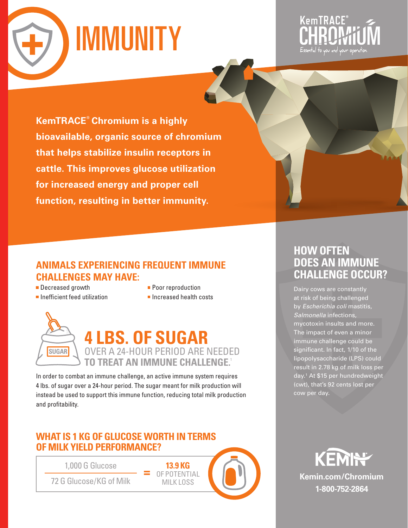



**KemTRACE® Chromium is a highly bioavailable, organic source of chromium that helps stabilize insulin receptors in cattle. This improves glucose utilization for increased energy and proper cell function, resulting in better immunity.** 



- Decreased growth
- **Inefficient feed utilization**
- **Poor reproduction**
- **Increased health costs**

**13.9 KG**  OF POTENTIAL MILK LOSS



In order to combat an immune challenge, an active immune system requires 4 lbs. of sugar over a 24-hour period. The sugar meant for milk production will instead be used to support this immune function, reducing total milk production and profitability.

**=**

## **WHAT IS 1 KG OF GLUCOSE WORTH IN TERMS OF MILK YIELD PERFORMANCE?**

1,000 G Glucose

72 G Glucose/KG of Milk



# **HOW OFTEN DOES AN IMMUNE CHALLENGE OCCUR?**

Dairy cows are constantly at risk of being challenged by Escherichia coli mastitis, Salmonella infections, mycotoxin insults and more. The impact of even a minor immune challenge could be significant. In fact, 1/10 of the lipopolysaccharide (LPS) could result in 2.78 kg of milk loss per day.1 At \$15 per hundredweight (cwt), that's 92 cents lost per cow per day.

KEMI<del>N</del> **Kemin.com/Chromium 1-800-752-2864**